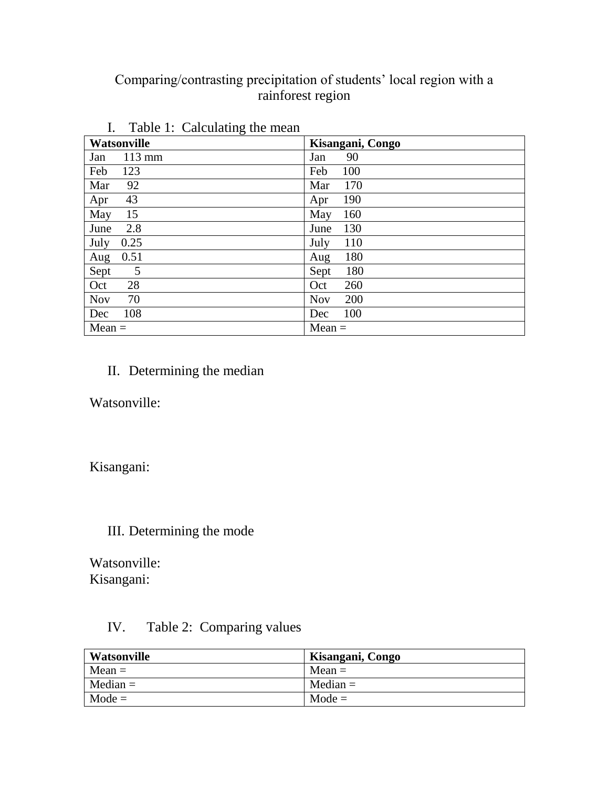# Comparing/contrasting precipitation of students' local region with a rainforest region

| Watsonville      | Kisangani, Congo |
|------------------|------------------|
| $113 \text{ mm}$ | 90               |
| Jan              | Jan              |
| Feb              | Feb              |
| 123              | 100              |
| 92               | 170              |
| Mar              | Mar              |
| 43               | 190              |
| Apr              | Apr              |
| 15               | 160              |
| May              | May              |
| 2.8              | 130              |
| June             | June             |
| July             | 110              |
| 0.25             | July             |
| 0.51             | 180              |
| Aug              | Aug              |
| 5                | 180              |
| Sept             | Sept             |
| 28               | 260              |
| Oct              | Oct              |
| 70               | 200              |
| <b>Nov</b>       | <b>Nov</b>       |
| 108              | 100              |
| Dec              | Dec              |
| $Mean =$         | $Mean =$         |

## I. Table  $1:$  Calculating the mean

## II. Determining the median

Watsonville:

Kisangani:

### III. Determining the mode

Watsonville: Kisangani:

### IV. Table 2: Comparing values

| Watsonville | Kisangani, Congo |
|-------------|------------------|
| $Mean =$    | $Mean =$         |
| $Median =$  | $Median =$       |
| $Mode =$    | $Mode =$         |